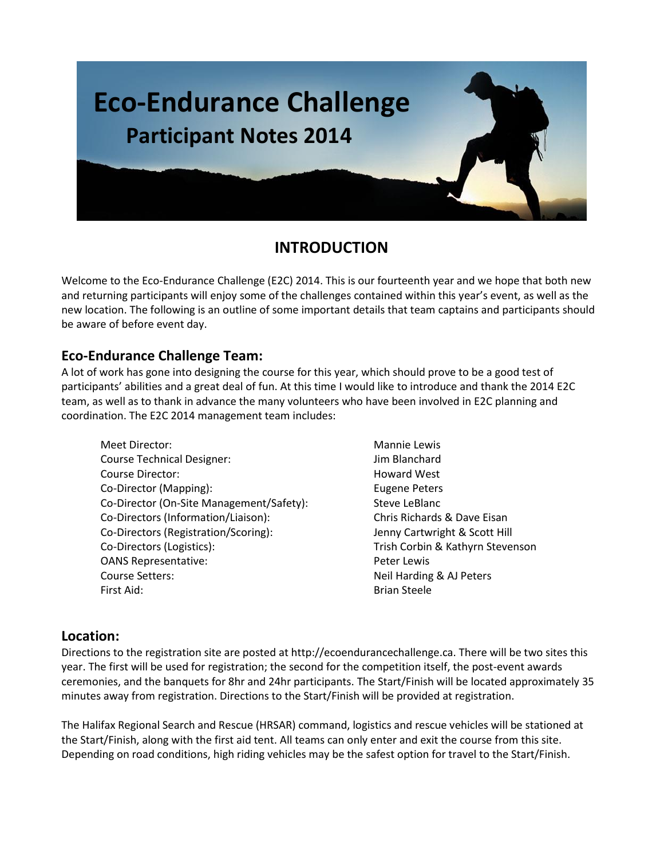

## **INTRODUCTION**

Welcome to the Eco-Endurance Challenge (E2C) 2014. This is our fourteenth year and we hope that both new and returning participants will enjoy some of the challenges contained within this year's event, as well as the new location. The following is an outline of some important details that team captains and participants should be aware of before event day.

## **Eco-Endurance Challenge Team:**

A lot of work has gone into designing the course for this year, which should prove to be a good test of participants' abilities and a great deal of fun. At this time I would like to introduce and thank the 2014 E2C team, as well as to thank in advance the many volunteers who have been involved in E2C planning and coordination. The E2C 2014 management team includes:

- Meet Director: Mannie Lewis Course Technical Designer: Jim Blanchard Course Director: News and Music Course Director: Co-Director (Mapping): Eugene Peters Co-Director (On-Site Management/Safety): Steve LeBlanc Co-Directors (Information/Liaison): Chris Richards & Dave Eisan Co-Directors (Registration/Scoring): Jenny Cartwright & Scott Hill Co-Directors (Logistics): Trish Corbin & Kathyrn Stevenson OANS Representative: example and the Peter Lewis Course Setters: Neil Harding & AJ Peters First Aid: Brian Steele
	-

## **Location:**

Directions to the registration site are posted at http://ecoendurancechallenge.ca. There will be two sites this year. The first will be used for registration; the second for the competition itself, the post-event awards ceremonies, and the banquets for 8hr and 24hr participants. The Start/Finish will be located approximately 35 minutes away from registration. Directions to the Start/Finish will be provided at registration.

The Halifax Regional Search and Rescue (HRSAR) command, logistics and rescue vehicles will be stationed at the Start/Finish, along with the first aid tent. All teams can only enter and exit the course from this site. Depending on road conditions, high riding vehicles may be the safest option for travel to the Start/Finish.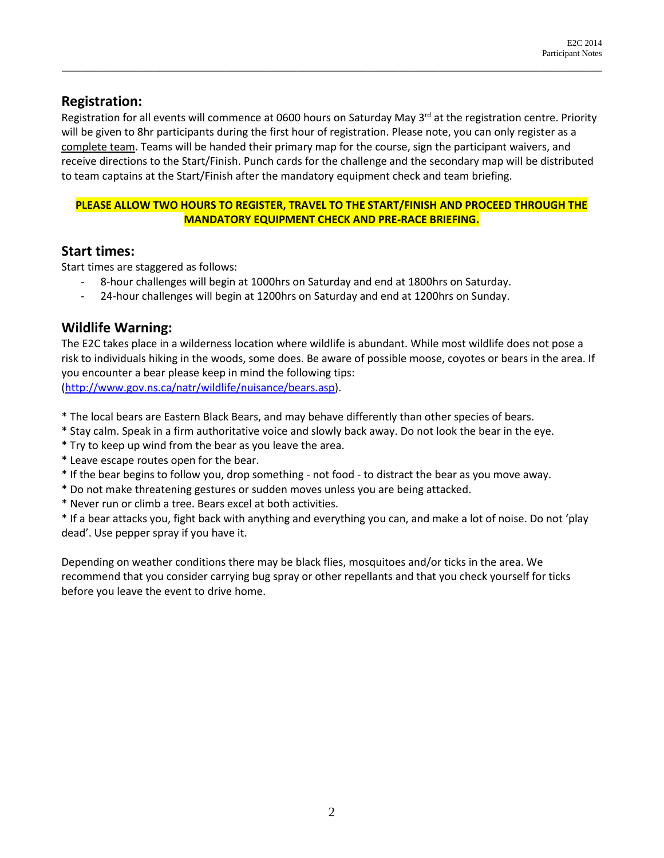## **Registration:**

Registration for all events will commence at 0600 hours on Saturday May 3<sup>rd</sup> at the registration centre. Priority will be given to 8hr participants during the first hour of registration. Please note, you can only register as a complete team. Teams will be handed their primary map for the course, sign the participant waivers, and receive directions to the Start/Finish. Punch cards for the challenge and the secondary map will be distributed to team captains at the Start/Finish after the mandatory equipment check and team briefing.

\_\_\_\_\_\_\_\_\_\_\_\_\_\_\_\_\_\_\_\_\_\_\_\_\_\_\_\_\_\_\_\_\_\_\_\_\_\_\_\_\_\_\_\_\_\_\_\_\_\_\_\_\_\_\_\_\_\_\_\_\_\_\_\_\_\_\_\_\_\_\_\_\_\_\_\_\_\_\_\_\_\_\_

#### **PLEASE ALLOW TWO HOURS TO REGISTER, TRAVEL TO THE START/FINISH AND PROCEED THROUGH THE MANDATORY EQUIPMENT CHECK AND PRE-RACE BRIEFING.**

#### **Start times:**

Start times are staggered as follows:

- 8-hour challenges will begin at 1000hrs on Saturday and end at 1800hrs on Saturday.
- 24-hour challenges will begin at 1200hrs on Saturday and end at 1200hrs on Sunday.

## **Wildlife Warning:**

The E2C takes place in a wilderness location where wildlife is abundant. While most wildlife does not pose a risk to individuals hiking in the woods, some does. Be aware of possible moose, coyotes or bears in the area. If you encounter a bear please keep in mind the following tips: [\(http://www.gov.ns.ca/natr/wildlife/nuisance/bears.asp\)](http://www.gov.ns.ca/natr/wildlife/nuisance/bears.asp).

\* The local bears are Eastern Black Bears, and may behave differently than other species of bears.

- \* Stay calm. Speak in a firm authoritative voice and slowly back away. Do not look the bear in the eye.
- \* Try to keep up wind from the bear as you leave the area.
- \* Leave escape routes open for the bear.
- \* If the bear begins to follow you, drop something not food to distract the bear as you move away.
- \* Do not make threatening gestures or sudden moves unless you are being attacked.
- \* Never run or climb a tree. Bears excel at both activities.

\* If a bear attacks you, fight back with anything and everything you can, and make a lot of noise. Do not 'play dead'. Use pepper spray if you have it.

Depending on weather conditions there may be black flies, mosquitoes and/or ticks in the area. We recommend that you consider carrying bug spray or other repellants and that you check yourself for ticks before you leave the event to drive home.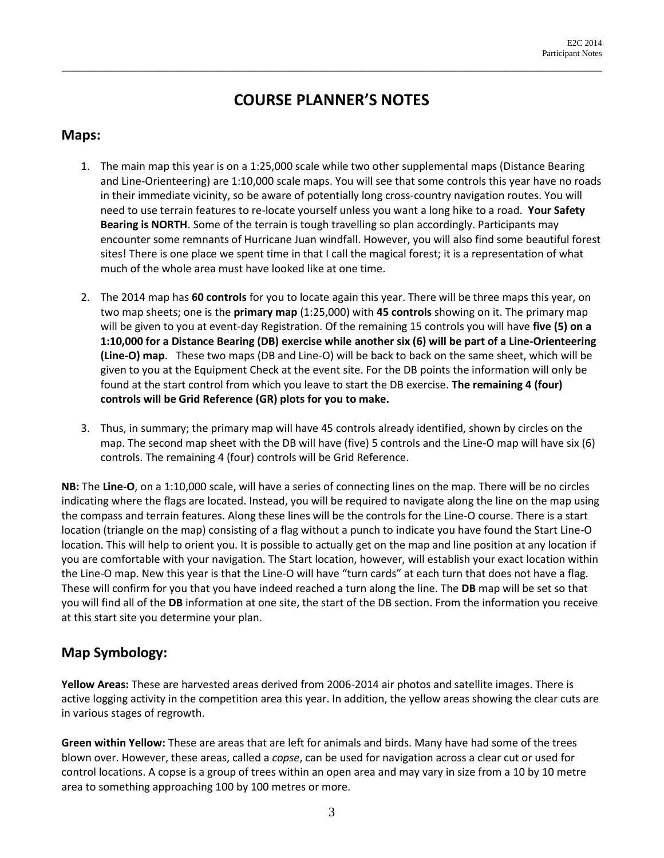## **COURSE PLANNER'S NOTES**

\_\_\_\_\_\_\_\_\_\_\_\_\_\_\_\_\_\_\_\_\_\_\_\_\_\_\_\_\_\_\_\_\_\_\_\_\_\_\_\_\_\_\_\_\_\_\_\_\_\_\_\_\_\_\_\_\_\_\_\_\_\_\_\_\_\_\_\_\_\_\_\_\_\_\_\_\_\_\_\_\_\_\_

#### **Maps:**

- 1. The main map this year is on a 1:25,000 scale while two other supplemental maps (Distance Bearing and Line-Orienteering) are 1:10,000 scale maps. You will see that some controls this year have no roads in their immediate vicinity, so be aware of potentially long cross-country navigation routes. You will need to use terrain features to re-locate yourself unless you want a long hike to a road. **Your Safety Bearing is NORTH**. Some of the terrain is tough travelling so plan accordingly. Participants may encounter some remnants of Hurricane Juan windfall. However, you will also find some beautiful forest sites! There is one place we spent time in that I call the magical forest; it is a representation of what much of the whole area must have looked like at one time.
- 2. The 2014 map has **60 controls** for you to locate again this year. There will be three maps this year, on two map sheets; one is the **primary map** (1:25,000) with **45 controls** showing on it. The primary map will be given to you at event-day Registration. Of the remaining 15 controls you will have **five (5) on a 1:10,000 for a Distance Bearing (DB) exercise while another six (6) will be part of a Line-Orienteering (Line-O) map**. These two maps (DB and Line-O) will be back to back on the same sheet, which will be given to you at the Equipment Check at the event site. For the DB points the information will only be found at the start control from which you leave to start the DB exercise. **The remaining 4 (four) controls will be Grid Reference (GR) plots for you to make.**
- 3. Thus, in summary; the primary map will have 45 controls already identified, shown by circles on the map. The second map sheet with the DB will have (five) 5 controls and the Line-O map will have six (6) controls. The remaining 4 (four) controls will be Grid Reference.

**NB:** The **Line-O**, on a 1:10,000 scale, will have a series of connecting lines on the map. There will be no circles indicating where the flags are located. Instead, you will be required to navigate along the line on the map using the compass and terrain features. Along these lines will be the controls for the Line-O course. There is a start location (triangle on the map) consisting of a flag without a punch to indicate you have found the Start Line-O location. This will help to orient you. It is possible to actually get on the map and line position at any location if you are comfortable with your navigation. The Start location, however, will establish your exact location within the Line-O map. New this year is that the Line-O will have "turn cards" at each turn that does not have a flag. These will confirm for you that you have indeed reached a turn along the line. The **DB** map will be set so that you will find all of the **DB** information at one site, the start of the DB section. From the information you receive at this start site you determine your plan.

## **Map Symbology:**

**Yellow Areas:** These are harvested areas derived from 2006-2014 air photos and satellite images. There is active logging activity in the competition area this year. In addition, the yellow areas showing the clear cuts are in various stages of regrowth.

**Green within Yellow:** These are areas that are left for animals and birds. Many have had some of the trees blown over. However, these areas, called a *copse*, can be used for navigation across a clear cut or used for control locations. A copse is a group of trees within an open area and may vary in size from a 10 by 10 metre area to something approaching 100 by 100 metres or more.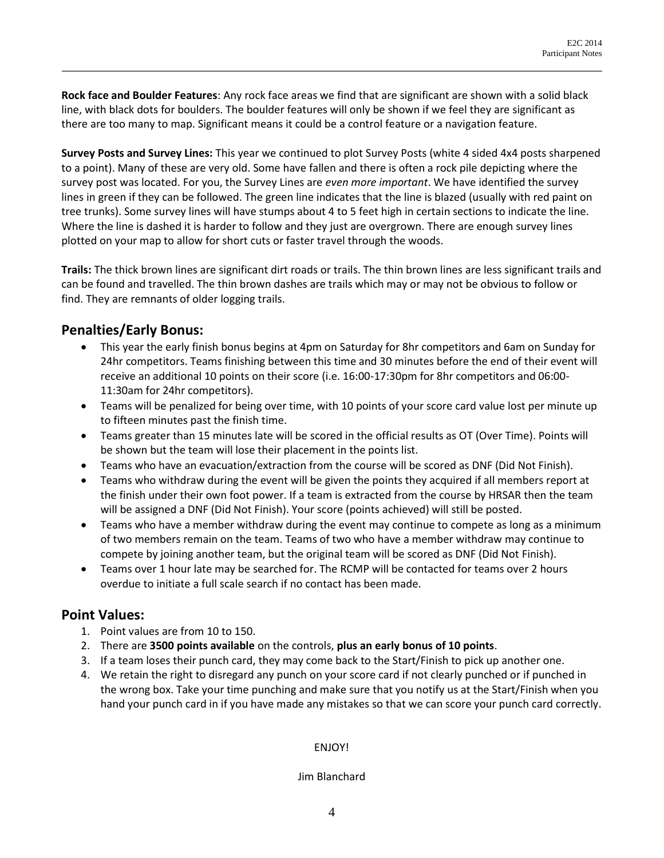**Rock face and Boulder Features**: Any rock face areas we find that are significant are shown with a solid black line, with black dots for boulders. The boulder features will only be shown if we feel they are significant as there are too many to map. Significant means it could be a control feature or a navigation feature.

\_\_\_\_\_\_\_\_\_\_\_\_\_\_\_\_\_\_\_\_\_\_\_\_\_\_\_\_\_\_\_\_\_\_\_\_\_\_\_\_\_\_\_\_\_\_\_\_\_\_\_\_\_\_\_\_\_\_\_\_\_\_\_\_\_\_\_\_\_\_\_\_\_\_\_\_\_\_\_\_\_\_\_

**Survey Posts and Survey Lines:** This year we continued to plot Survey Posts (white 4 sided 4x4 posts sharpened to a point). Many of these are very old. Some have fallen and there is often a rock pile depicting where the survey post was located. For you, the Survey Lines are *even more important*. We have identified the survey lines in green if they can be followed. The green line indicates that the line is blazed (usually with red paint on tree trunks). Some survey lines will have stumps about 4 to 5 feet high in certain sections to indicate the line. Where the line is dashed it is harder to follow and they just are overgrown. There are enough survey lines plotted on your map to allow for short cuts or faster travel through the woods.

**Trails:** The thick brown lines are significant dirt roads or trails. The thin brown lines are less significant trails and can be found and travelled. The thin brown dashes are trails which may or may not be obvious to follow or find. They are remnants of older logging trails.

## **Penalties/Early Bonus:**

- This year the early finish bonus begins at 4pm on Saturday for 8hr competitors and 6am on Sunday for 24hr competitors. Teams finishing between this time and 30 minutes before the end of their event will receive an additional 10 points on their score (i.e. 16:00-17:30pm for 8hr competitors and 06:00- 11:30am for 24hr competitors).
- Teams will be penalized for being over time, with 10 points of your score card value lost per minute up to fifteen minutes past the finish time.
- Teams greater than 15 minutes late will be scored in the official results as OT (Over Time). Points will be shown but the team will lose their placement in the points list.
- Teams who have an evacuation/extraction from the course will be scored as DNF (Did Not Finish).
- Teams who withdraw during the event will be given the points they acquired if all members report at the finish under their own foot power. If a team is extracted from the course by HRSAR then the team will be assigned a DNF (Did Not Finish). Your score (points achieved) will still be posted.
- Teams who have a member withdraw during the event may continue to compete as long as a minimum of two members remain on the team. Teams of two who have a member withdraw may continue to compete by joining another team, but the original team will be scored as DNF (Did Not Finish).
- Teams over 1 hour late may be searched for. The RCMP will be contacted for teams over 2 hours overdue to initiate a full scale search if no contact has been made.

## **Point Values:**

- 1. Point values are from 10 to 150.
- 2. There are **3500 points available** on the controls, **plus an early bonus of 10 points**.
- 3. If a team loses their punch card, they may come back to the Start/Finish to pick up another one.
- 4. We retain the right to disregard any punch on your score card if not clearly punched or if punched in the wrong box. Take your time punching and make sure that you notify us at the Start/Finish when you hand your punch card in if you have made any mistakes so that we can score your punch card correctly.

#### ENJOY!

#### Jim Blanchard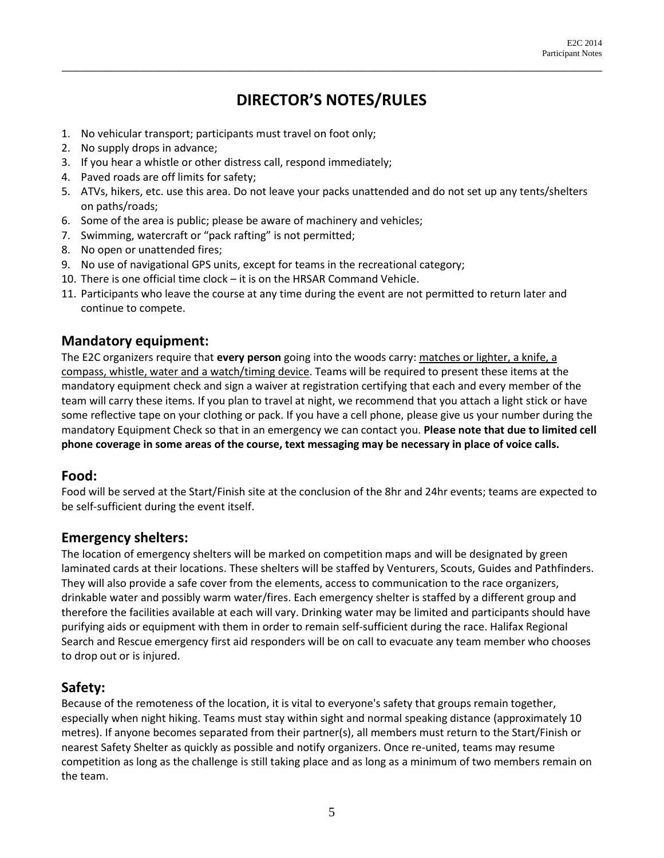# **DIRECTOR'S NOTES/RULES**

\_\_\_\_\_\_\_\_\_\_\_\_\_\_\_\_\_\_\_\_\_\_\_\_\_\_\_\_\_\_\_\_\_\_\_\_\_\_\_\_\_\_\_\_\_\_\_\_\_\_\_\_\_\_\_\_\_\_\_\_\_\_\_\_\_\_\_\_\_\_\_\_\_\_\_\_\_\_\_\_\_\_\_

- 1. No vehicular transport; participants must travel on foot only;
- 2. No supply drops in advance;
- 3. If you hear a whistle or other distress call, respond immediately;
- 4. Paved roads are off limits for safety;
- 5. ATVs, hikers, etc. use this area. Do not leave your packs unattended and do not set up any tents/shelters on paths/roads;
- 6. Some of the area is public; please be aware of machinery and vehicles;
- 7. Swimming, watercraft or "pack rafting" is not permitted;
- 8. No open or unattended fires;
- 9. No use of navigational GPS units, except for teams in the recreational category;
- 10. There is one official time clock it is on the HRSAR Command Vehicle.
- 11. Participants who leave the course at any time during the event are not permitted to return later and continue to compete.

#### **Mandatory equipment:**

The E2C organizers require that **every person** going into the woods carry: matches or lighter, a knife, a compass, whistle, water and a watch/timing device. Teams will be required to present these items at the mandatory equipment check and sign a waiver at registration certifying that each and every member of the team will carry these items. If you plan to travel at night, we recommend that you attach a light stick or have some reflective tape on your clothing or pack. If you have a cell phone, please give us your number during the mandatory Equipment Check so that in an emergency we can contact you. **Please note that due to limited cell phone coverage in some areas of the course, text messaging may be necessary in place of voice calls.**

#### **Food:**

Food will be served at the Start/Finish site at the conclusion of the 8hr and 24hr events; teams are expected to be self-sufficient during the event itself.

#### **Emergency shelters:**

The location of emergency shelters will be marked on competition maps and will be designated by green laminated cards at their locations. These shelters will be staffed by Venturers, Scouts, Guides and Pathfinders. They will also provide a safe cover from the elements, access to communication to the race organizers, drinkable water and possibly warm water/fires. Each emergency shelter is staffed by a different group and therefore the facilities available at each will vary. Drinking water may be limited and participants should have purifying aids or equipment with them in order to remain self-sufficient during the race. Halifax Regional Search and Rescue emergency first aid responders will be on call to evacuate any team member who chooses to drop out or is injured.

## **Safety:**

Because of the remoteness of the location, it is vital to everyone's safety that groups remain together, especially when night hiking. Teams must stay within sight and normal speaking distance (approximately 10 metres). If anyone becomes separated from their partner(s), all members must return to the Start/Finish or nearest Safety Shelter as quickly as possible and notify organizers. Once re-united, teams may resume competition as long as the challenge is still taking place and as long as a minimum of two members remain on the team.